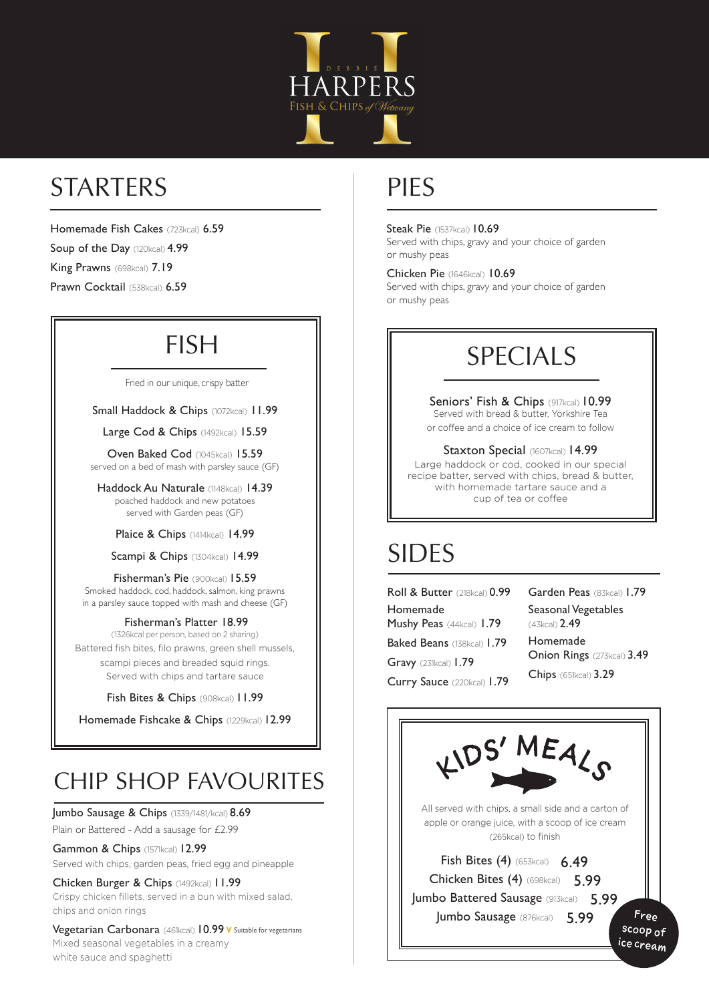

# STARTERS

Homemade Fish Cakes (723kcal) 6.59

Soup of the Day (120kcal) 4.99

King Prawns (698kcal) 7.19

Prawn Cocktail (538kcal) 6.59

## FISH

#### Fried in our unique, crispy batter

Small Haddock & Chips (1072kcal) 11.99

Large Cod & Chips (1492kcal) 15.59

Oven Baked Cod (1045kcal) 15.59 served on a bed of mash with parsley sauce (GF)

Haddock Au Naturale (1148kcal) 14.39 poached haddock and new potatoes served with Garden peas (GF)

Plaice & Chips (1414kcal) 14.99

Scampi & Chips (1304kcal) 14.99

Fisherman's Pie (900kcal) 15.59 Smoked haddock, cod, haddock, salmon, king prawns in a parsley sauce topped with mash and cheese (GF)

#### Fisherman's Platter 18.99

(1326kcal per person, based on 2 sharing) Battered fish bites, filo prawns, green shell mussels, scampi pieces and breaded squid rings. Served with chips and tartare sauce

#### Fish Bites & Chips (908kcal) 11.99

Homemade Fishcake & Chips (1229kcal) 12.99

### CHIP SHOP FAVOURITES

Jumbo Sausage & Chips (1339/1481/kcal) 8.69

Plain or Battered - Add a sausage for £2.99

Gammon & Chips (1571kcal) 12.99 Served with chips, garden peas, fried egg and pineapple

Chicken Burger & Chips (1492kcal) 11.99 Crispy chicken fillets, served in a bun with mixed salad, chips and onion rings

Vegetarian Carbonara (461kcal) 10.99 v Suitable for vegetarians Mixed seasonal vegetables in a creamy white sauce and spaghetti

### PIES

**Steak Pie** (1537kcal) **10.69** Served with chips, gravy and your choice of garden

or mushy peas Chicken Pie (1646kcal) 10.69 Served with chips, gravy and your choice of garden or mushy peas

# SPECIALS

Seniors' Fish & Chips (917kcal) 10.99 Served with bread & butter, Yorkshire Tea or coffee and a choice of ice cream to follow

Staxton Special (1607kcal) 14.99 Large haddock or cod, cooked in our special recipe batter, served with chips, bread & butter, with homemade tartare sauce and a cup of tea or coffee

# SIDES

| Roll & Butter (218kcal) 0.99      | Garden Peas (83kcal) 1.79   |
|-----------------------------------|-----------------------------|
| Homemade                          | Seasonal Vegetables         |
| Mushy Peas (44kcal) 1.79          | $(43kcal)$ 2.49             |
| <b>Baked Beans</b> (138kcal) 1.79 | Homemade                    |
| Gravy $(231kcal)$ 1.79            | Onion Rings (273kcal) 3.49  |
| Curry Sauce (220kcal) 1.79        | <b>Chips</b> (651kcal) 3.29 |